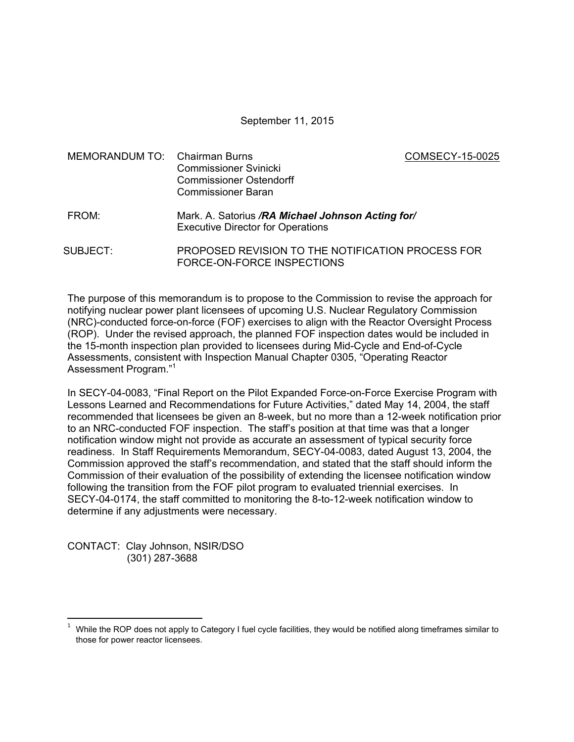September 11, 2015

MEMORANDUM TO: Chairman Burns COMSECY-15-0025 Commissioner Svinicki Commissioner Ostendorff Commissioner Baran

- FROM: Mark. A. Satorius */RA Michael Johnson Acting for/* Executive Director for Operations
- SUBJECT: PROPOSED REVISION TO THE NOTIFICATION PROCESS FOR FORCE-ON-FORCE INSPECTIONS

The purpose of this memorandum is to propose to the Commission to revise the approach for notifying nuclear power plant licensees of upcoming U.S. Nuclear Regulatory Commission (NRC)-conducted force-on-force (FOF) exercises to align with the Reactor Oversight Process (ROP). Under the revised approach, the planned FOF inspection dates would be included in the 15-month inspection plan provided to licensees during Mid-Cycle and End-of-Cycle Assessments, consistent with Inspection Manual Chapter 0305, "Operating Reactor Assessment Program."<sup>1</sup>

In SECY-04-0083, "Final Report on the Pilot Expanded Force-on-Force Exercise Program with Lessons Learned and Recommendations for Future Activities," dated May 14, 2004, the staff recommended that licensees be given an 8-week, but no more than a 12-week notification prior to an NRC-conducted FOF inspection. The staff's position at that time was that a longer notification window might not provide as accurate an assessment of typical security force readiness. In Staff Requirements Memorandum, SECY-04-0083, dated August 13, 2004, the Commission approved the staff's recommendation, and stated that the staff should inform the Commission of their evaluation of the possibility of extending the licensee notification window following the transition from the FOF pilot program to evaluated triennial exercises. In SECY-04-0174, the staff committed to monitoring the 8-to-12-week notification window to determine if any adjustments were necessary.

CONTACT: Clay Johnson, NSIR/DSO (301) 287-3688

**.** 

<sup>1</sup> While the ROP does not apply to Category I fuel cycle facilities, they would be notified along timeframes similar to those for power reactor licensees.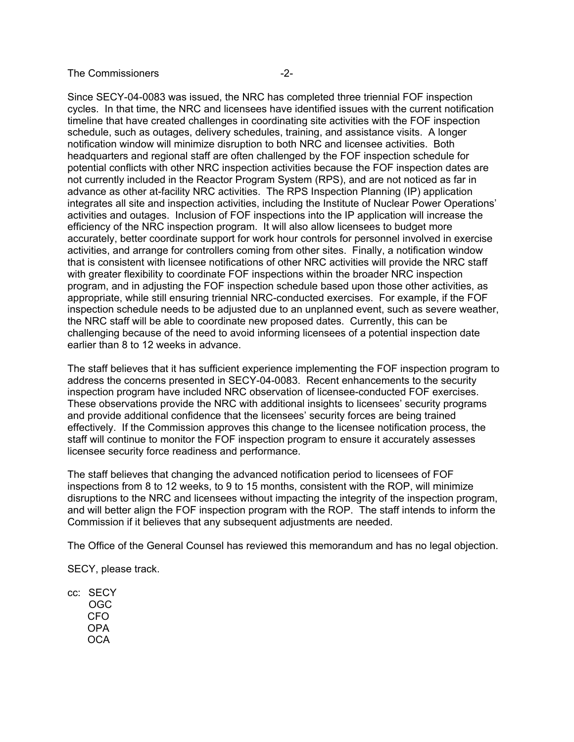## The Commissioners **-2-**

Since SECY-04-0083 was issued, the NRC has completed three triennial FOF inspection cycles. In that time, the NRC and licensees have identified issues with the current notification timeline that have created challenges in coordinating site activities with the FOF inspection schedule, such as outages, delivery schedules, training, and assistance visits. A longer notification window will minimize disruption to both NRC and licensee activities. Both headquarters and regional staff are often challenged by the FOF inspection schedule for potential conflicts with other NRC inspection activities because the FOF inspection dates are not currently included in the Reactor Program System (RPS), and are not noticed as far in advance as other at-facility NRC activities. The RPS Inspection Planning (IP) application integrates all site and inspection activities, including the Institute of Nuclear Power Operations' activities and outages. Inclusion of FOF inspections into the IP application will increase the efficiency of the NRC inspection program. It will also allow licensees to budget more accurately, better coordinate support for work hour controls for personnel involved in exercise activities, and arrange for controllers coming from other sites. Finally, a notification window that is consistent with licensee notifications of other NRC activities will provide the NRC staff with greater flexibility to coordinate FOF inspections within the broader NRC inspection program, and in adjusting the FOF inspection schedule based upon those other activities, as appropriate, while still ensuring triennial NRC-conducted exercises. For example, if the FOF inspection schedule needs to be adjusted due to an unplanned event, such as severe weather, the NRC staff will be able to coordinate new proposed dates. Currently, this can be challenging because of the need to avoid informing licensees of a potential inspection date earlier than 8 to 12 weeks in advance.

The staff believes that it has sufficient experience implementing the FOF inspection program to address the concerns presented in SECY-04-0083. Recent enhancements to the security inspection program have included NRC observation of licensee-conducted FOF exercises. These observations provide the NRC with additional insights to licensees' security programs and provide additional confidence that the licensees' security forces are being trained effectively. If the Commission approves this change to the licensee notification process, the staff will continue to monitor the FOF inspection program to ensure it accurately assesses licensee security force readiness and performance.

The staff believes that changing the advanced notification period to licensees of FOF inspections from 8 to 12 weeks, to 9 to 15 months, consistent with the ROP, will minimize disruptions to the NRC and licensees without impacting the integrity of the inspection program, and will better align the FOF inspection program with the ROP. The staff intends to inform the Commission if it believes that any subsequent adjustments are needed.

The Office of the General Counsel has reviewed this memorandum and has no legal objection.

SECY, please track.

cc: SECY OGC CFO OPA **OCA**